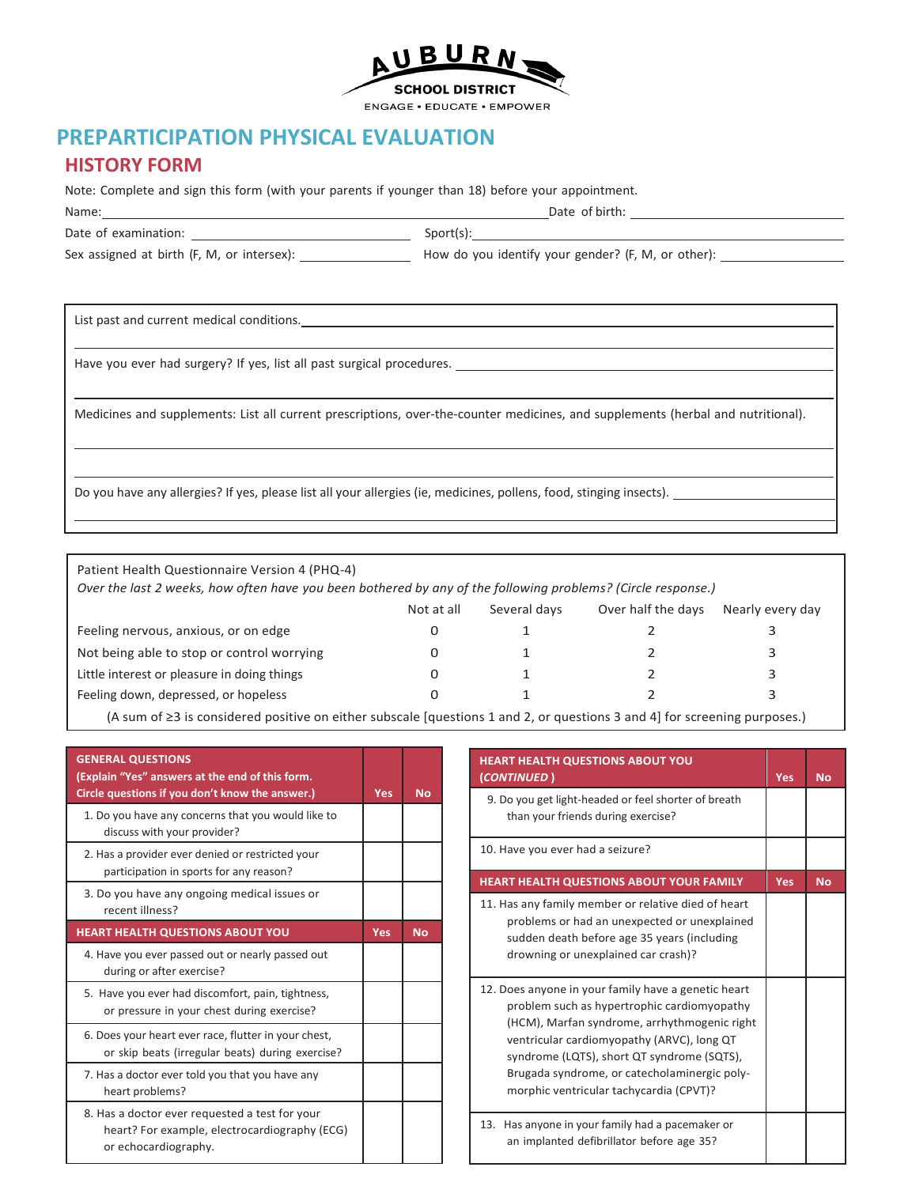

# **PREPARTICIPATION PHYSICAL EVALUATION**

### **HISTORY FORM**

Note: Complete and sign this form (with your parents if younger than 18) before your appointment.

| Name:                                      | Date of birth:                                     |  |  |
|--------------------------------------------|----------------------------------------------------|--|--|
| Date of examination:                       | Sport(s):                                          |  |  |
| Sex assigned at birth (F, M, or intersex): | How do you identify your gender? (F, M, or other): |  |  |
|                                            |                                                    |  |  |

List past and current medical conditions.

Have you ever had surgery? If yes, list all past surgical procedures.

Medicines and supplements: List all current prescriptions, over-the-counter medicines, and supplements (herbal and nutritional).

Do you have any allergies? If yes, please list all your allergies (ie, medicines, pollens, food, stinging insects).

Patient Health Questionnaire Version 4 (PHQ-4) *Over the last 2 weeks, how often have you been bothered by any of the following problems? (Circle response.)* Not at all Several days Over half the days Nearly every day Feeling nervous, anxious, or on edge 0 1 2 3 3 Not being able to stop or control worrying 0 1 2 3 3 Little interest or pleasure in doing things 0 1 2 3 3 Feeling down, depressed, or hopeless 0 1 3 3

(A sum of ≥3 is considered positive on either subscale [questions 1 and 2, or questions 3 and 4] for screening purposes.)

| <b>GENERAL QUESTIONS</b><br>(Explain "Yes" answers at the end of this form.<br>Circle questions if you don't know the answer.) | <b>Yes</b> | <b>No</b> |
|--------------------------------------------------------------------------------------------------------------------------------|------------|-----------|
| 1. Do you have any concerns that you would like to<br>discuss with your provider?                                              |            |           |
| 2. Has a provider ever denied or restricted your<br>participation in sports for any reason?                                    |            |           |
| 3. Do you have any ongoing medical issues or<br>recent illness?                                                                |            |           |
| <b>HEART HEALTH QUESTIONS ABOUT YOU</b>                                                                                        | <b>Yes</b> | <b>No</b> |
| 4. Have you ever passed out or nearly passed out<br>during or after exercise?                                                  |            |           |
| 5. Have you ever had discomfort, pain, tightness,<br>or pressure in your chest during exercise?                                |            |           |
| 6. Does your heart ever race, flutter in your chest,<br>or skip beats (irregular beats) during exercise?                       |            |           |
| 7. Has a doctor ever told you that you have any<br>heart problems?                                                             |            |           |
| 8. Has a doctor ever requested a test for your<br>heart? For example, electrocardiography (ECG)<br>or echocardiography.        |            |           |

| HEART HEALTH QUESTIONS ABOUT YOU<br>(CONTINUED)                                                                                                                                                                                                                                                                                           | <b>Yes</b> | <b>No</b> |
|-------------------------------------------------------------------------------------------------------------------------------------------------------------------------------------------------------------------------------------------------------------------------------------------------------------------------------------------|------------|-----------|
| 9. Do you get light-headed or feel shorter of breath<br>than your friends during exercise?                                                                                                                                                                                                                                                |            |           |
| 10. Have you ever had a seizure?                                                                                                                                                                                                                                                                                                          |            |           |
| <b>HEART HEALTH QUESTIONS ABOUT YOUR FAMILY</b>                                                                                                                                                                                                                                                                                           | <b>Yes</b> | <b>No</b> |
| 11. Has any family member or relative died of heart<br>problems or had an unexpected or unexplained<br>sudden death before age 35 years (including<br>drowning or unexplained car crash)?                                                                                                                                                 |            |           |
| 12. Does anyone in your family have a genetic heart<br>problem such as hypertrophic cardiomyopathy<br>(HCM), Marfan syndrome, arrhythmogenic right<br>ventricular cardiomyopathy (ARVC), long QT<br>syndrome (LQTS), short QT syndrome (SQTS),<br>Brugada syndrome, or catecholaminergic poly-<br>morphic ventricular tachycardia (CPVT)? |            |           |
| 13. Has anyone in your family had a pacemaker or<br>an implanted defibrillator before age 35?                                                                                                                                                                                                                                             |            |           |

 $\overline{\phantom{a}}$ 

 $\overline{\phantom{a}}$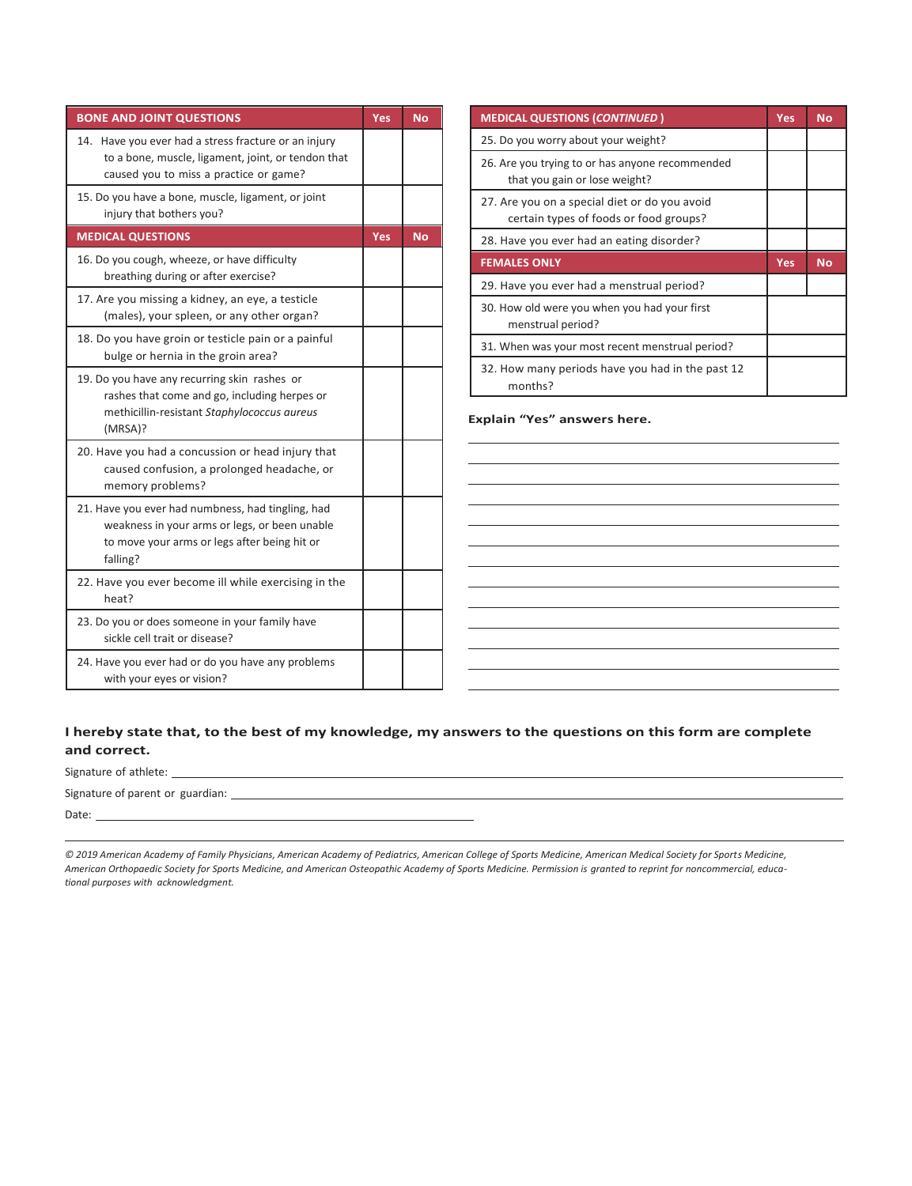| <b>BONE AND JOINT QUESTIONS</b>                                                                                                                                | <b>Yes</b> | <b>No</b> |
|----------------------------------------------------------------------------------------------------------------------------------------------------------------|------------|-----------|
| 14. Have you ever had a stress fracture or an injury<br>to a bone, muscle, ligament, joint, or tendon that<br>caused you to miss a practice or game?           |            |           |
| 15. Do you have a bone, muscle, ligament, or joint<br>injury that bothers you?                                                                                 |            |           |
| <b>MEDICAL QUESTIONS</b>                                                                                                                                       | <b>Yes</b> | No.       |
| 16. Do you cough, wheeze, or have difficulty<br>breathing during or after exercise?                                                                            |            |           |
| 17. Are you missing a kidney, an eye, a testicle<br>(males), your spleen, or any other organ?                                                                  |            |           |
| 18. Do you have groin or testicle pain or a painful<br>bulge or hernia in the groin area?                                                                      |            |           |
| 19. Do you have any recurring skin rashes or<br>rashes that come and go, including herpes or<br>methicillin-resistant Staphylococcus aureus<br>(MRSA)?         |            |           |
| 20. Have you had a concussion or head injury that<br>caused confusion, a prolonged headache, or<br>memory problems?                                            |            |           |
| 21. Have you ever had numbness, had tingling, had<br>weakness in your arms or legs, or been unable<br>to move your arms or legs after being hit or<br>falling? |            |           |
| 22. Have you ever become ill while exercising in the<br>heat?                                                                                                  |            |           |
| 23. Do you or does someone in your family have<br>sickle cell trait or disease?                                                                                |            |           |
| 24. Have you ever had or do you have any problems<br>with your eyes or vision?                                                                                 |            |           |

| <b>MEDICAL QUESTIONS (CONTINUED)</b>                                                    | <b>Yes</b> | <b>No</b> |
|-----------------------------------------------------------------------------------------|------------|-----------|
| 25. Do you worry about your weight?                                                     |            |           |
| 26. Are you trying to or has anyone recommended<br>that you gain or lose weight?        |            |           |
| 27. Are you on a special diet or do you avoid<br>certain types of foods or food groups? |            |           |
| 28. Have you ever had an eating disorder?                                               |            |           |
| <b>FEMALES ONLY</b>                                                                     | <b>Yes</b> | <b>No</b> |
| 29. Have you ever had a menstrual period?                                               |            |           |
| 30. How old were you when you had your first<br>menstrual period?                       |            |           |
| 31. When was your most recent menstrual period?                                         |            |           |
| 32. How many periods have you had in the past 12<br>months?                             |            |           |

**Explain "Yes" answers here.**

**I hereby state that, to the best of my knowledge, my answers to the questions on this form are complete and correct.**

Signature of athlete: Signature of parent or guardian: Date:

*© 2019 American Academy of Family Physicians, American Academy of Pediatrics, American College of Sports Medicine, American Medical Society for Sports Medicine,*  American Orthopaedic Society for Sports Medicine, and American Osteopathic Academy of Sports Medicine. Permission is granted to reprint for noncommercial, educa*tional purposes with acknowledgment.*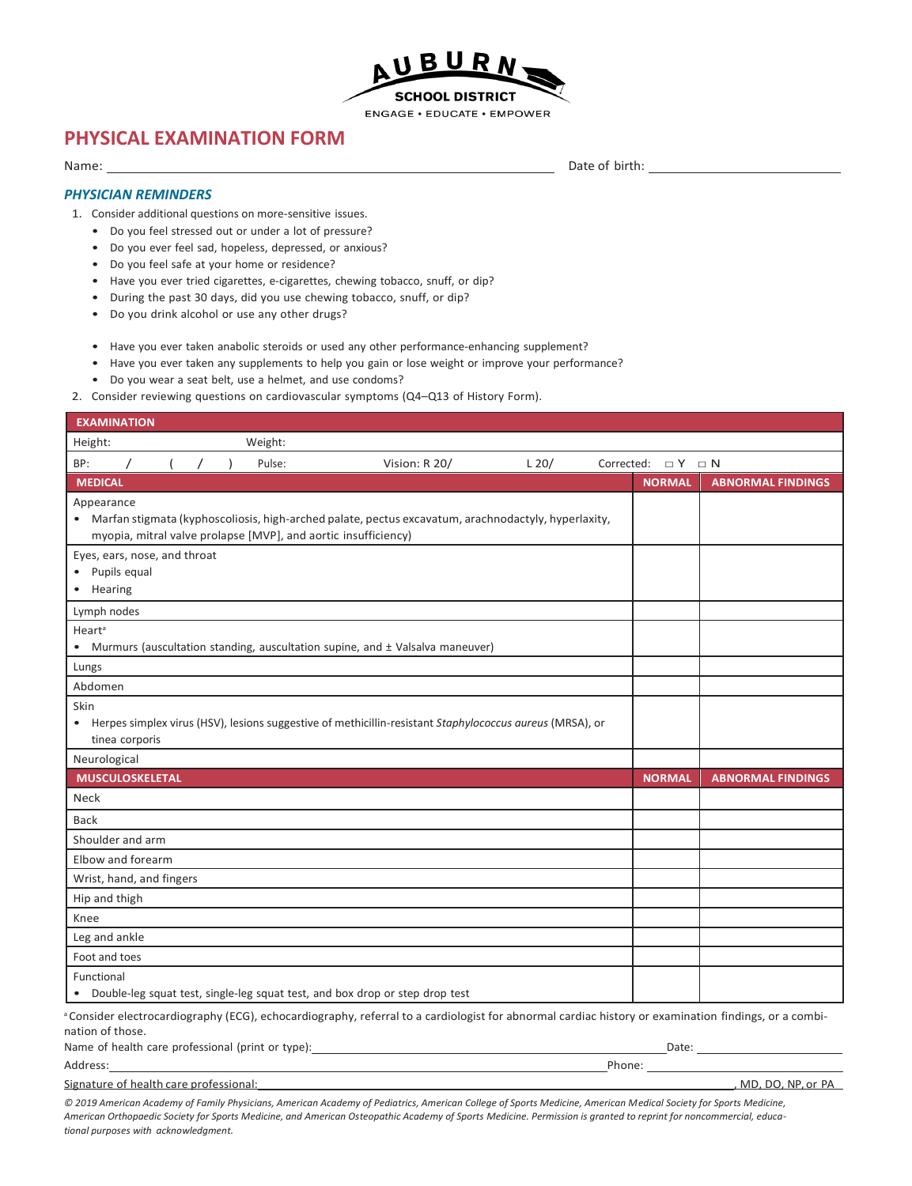

### **PHYSICAL EXAMINATION FORM**

#### Name:

Date of birth:

### *PHYSICIAN REMINDERS*

- 1. Consider additional questions on more-sensitive issues.
	- Do you feel stressed out or under a lot of pressure?
	- Do you ever feel sad, hopeless, depressed, or anxious?
	- Do you feel safe at your home or residence?
	- Have you ever tried cigarettes, e-cigarettes, chewing tobacco, snuff, or dip?
	- During the past 30 days, did you use chewing tobacco, snuff, or dip?
	- Do you drink alcohol or use any other drugs?
	- Have you ever taken anabolic steroids or used any other performance-enhancing supplement?
	- Have you ever taken any supplements to help you gain or lose weight or improve your performance?
	- Do you wear a seat belt, use a helmet, and use condoms?
- 2. Consider reviewing questions on cardiovascular symptoms (Q4–Q13 of History Form).

| <b>EXAMINATION</b>                                           |            |                                                                                                                                                                       |               |         |                            |                                                                                                                                                                 |
|--------------------------------------------------------------|------------|-----------------------------------------------------------------------------------------------------------------------------------------------------------------------|---------------|---------|----------------------------|-----------------------------------------------------------------------------------------------------------------------------------------------------------------|
| Height:                                                      |            | Weight:                                                                                                                                                               |               |         |                            |                                                                                                                                                                 |
| BP:                                                          | $\sqrt{2}$ | Pulse:                                                                                                                                                                | Vision: R 20/ | $L$ 20/ | Corrected: $\Box Y \Box N$ |                                                                                                                                                                 |
| <b>MEDICAL</b>                                               |            |                                                                                                                                                                       |               |         | <b>NORMAL</b>              | <b>ABNORMAL FINDINGS</b>                                                                                                                                        |
| Appearance                                                   |            | Marfan stigmata (kyphoscoliosis, high-arched palate, pectus excavatum, arachnodactyly, hyperlaxity,<br>myopia, mitral valve prolapse [MVP], and aortic insufficiency) |               |         |                            |                                                                                                                                                                 |
| Eyes, ears, nose, and throat<br>Pupils equal<br>Hearing<br>٠ |            |                                                                                                                                                                       |               |         |                            |                                                                                                                                                                 |
| Lymph nodes                                                  |            |                                                                                                                                                                       |               |         |                            |                                                                                                                                                                 |
| Heart <sup>a</sup><br>$\bullet$                              |            | Murmurs (auscultation standing, auscultation supine, and ± Valsalva maneuver)                                                                                         |               |         |                            |                                                                                                                                                                 |
| Lungs                                                        |            |                                                                                                                                                                       |               |         |                            |                                                                                                                                                                 |
| Abdomen                                                      |            |                                                                                                                                                                       |               |         |                            |                                                                                                                                                                 |
| Skin<br>٠<br>tinea corporis                                  |            | Herpes simplex virus (HSV), lesions suggestive of methicillin-resistant Staphylococcus aureus (MRSA), or                                                              |               |         |                            |                                                                                                                                                                 |
| Neurological                                                 |            |                                                                                                                                                                       |               |         |                            |                                                                                                                                                                 |
| <b>MUSCULOSKELETAL</b>                                       |            |                                                                                                                                                                       |               |         | <b>NORMAL</b>              | <b>ABNORMAL FINDINGS</b>                                                                                                                                        |
| Neck                                                         |            |                                                                                                                                                                       |               |         |                            |                                                                                                                                                                 |
| <b>Back</b>                                                  |            |                                                                                                                                                                       |               |         |                            |                                                                                                                                                                 |
| Shoulder and arm                                             |            |                                                                                                                                                                       |               |         |                            |                                                                                                                                                                 |
| Elbow and forearm                                            |            |                                                                                                                                                                       |               |         |                            |                                                                                                                                                                 |
| Wrist, hand, and fingers                                     |            |                                                                                                                                                                       |               |         |                            |                                                                                                                                                                 |
| Hip and thigh                                                |            |                                                                                                                                                                       |               |         |                            |                                                                                                                                                                 |
| Knee                                                         |            |                                                                                                                                                                       |               |         |                            |                                                                                                                                                                 |
| Leg and ankle                                                |            |                                                                                                                                                                       |               |         |                            |                                                                                                                                                                 |
| Foot and toes                                                |            |                                                                                                                                                                       |               |         |                            |                                                                                                                                                                 |
| Functional                                                   |            | Double-leg squat test, single-leg squat test, and box drop or step drop test                                                                                          |               |         |                            |                                                                                                                                                                 |
|                                                              |            |                                                                                                                                                                       |               |         |                            | <sup>a</sup> Consider electrocardiography (ECG), echocardiography, referral to a cardiologist for abnormal cardiac history or examination findings, or a combi- |

nation of those.

| Name of health care professional (print or type): | Date: |  |
|---------------------------------------------------|-------|--|
|                                                   |       |  |

Address: Phone: Signature of health care professional: , MD, DO, NP, or PA

*© 2019 American Academy of Family Physicians, American Academy of Pediatrics, American College of Sports Medicine, American Medical Society for Sports Medicine, American Orthopaedic Society for Sports Medicine, and American Osteopathic Academy of Sports Medicine. Permission is granted to reprint for noncommercial, educational purposes with acknowledgment.*